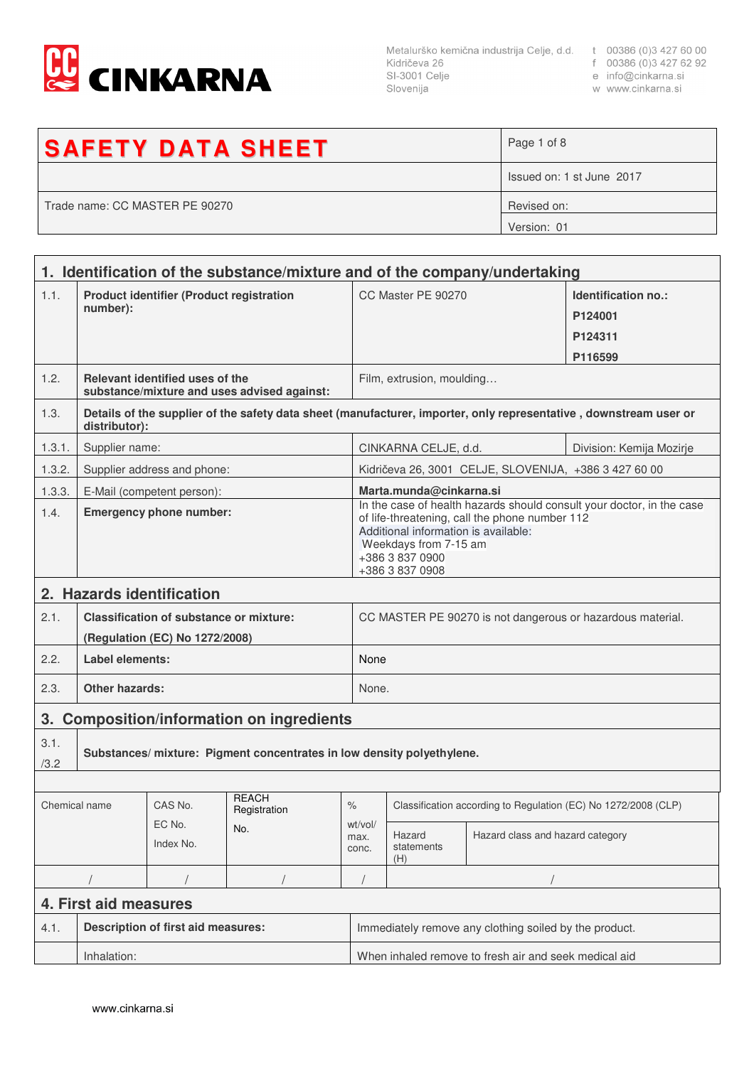

SI-3001 Celje Slovenija

- 
- e info@cinkarna.si

| w www.cinkarna.si |  |
|-------------------|--|
|                   |  |
|                   |  |

| <b>SAFETY DATA SHEET</b>       | Page 1 of 8               |
|--------------------------------|---------------------------|
|                                | Issued on: 1 st June 2017 |
| Trade name: CC MASTER PE 90270 | Revised on:               |
|                                | Version: 01               |

|                                                                                          | 1. Identification of the substance/mixture and of the company/undertaking      |                                           |                                               |                                                            |                                                                                                                                                                                                                                |                                                       |                                                                                                                   |
|------------------------------------------------------------------------------------------|--------------------------------------------------------------------------------|-------------------------------------------|-----------------------------------------------|------------------------------------------------------------|--------------------------------------------------------------------------------------------------------------------------------------------------------------------------------------------------------------------------------|-------------------------------------------------------|-------------------------------------------------------------------------------------------------------------------|
| 1.1.                                                                                     | <b>Product identifier (Product registration</b><br>number):                    |                                           |                                               | CC Master PE 90270                                         |                                                                                                                                                                                                                                | Identification no.:<br>P124001<br>P124311             |                                                                                                                   |
|                                                                                          |                                                                                |                                           |                                               |                                                            | P116599                                                                                                                                                                                                                        |                                                       |                                                                                                                   |
| 1.2.                                                                                     | Relevant identified uses of the<br>substance/mixture and uses advised against: |                                           |                                               |                                                            | Film, extrusion, moulding                                                                                                                                                                                                      |                                                       |                                                                                                                   |
| 1.3.                                                                                     | distributor):                                                                  |                                           |                                               |                                                            |                                                                                                                                                                                                                                |                                                       | Details of the supplier of the safety data sheet (manufacturer, importer, only representative, downstream user or |
| 1.3.1.                                                                                   | Supplier name:                                                                 |                                           |                                               |                                                            | CINKARNA CELJE, d.d.                                                                                                                                                                                                           |                                                       | Division: Kemija Mozirje                                                                                          |
| 1.3.2.                                                                                   |                                                                                | Supplier address and phone:               |                                               |                                                            |                                                                                                                                                                                                                                | Kidričeva 26, 3001 CELJE, SLOVENIJA, +386 3 427 60 00 |                                                                                                                   |
| 1.3.3.                                                                                   |                                                                                | E-Mail (competent person):                |                                               |                                                            | Marta.munda@cinkarna.si                                                                                                                                                                                                        |                                                       |                                                                                                                   |
| 1.4.                                                                                     | <b>Emergency phone number:</b>                                                 |                                           |                                               |                                                            | In the case of health hazards should consult your doctor, in the case<br>of life-threatening, call the phone number 112<br>Additional information is available:<br>Weekdays from 7-15 am<br>+386 3 837 0900<br>+386 3 837 0908 |                                                       |                                                                                                                   |
| 2.                                                                                       |                                                                                | <b>Hazards identification</b>             |                                               |                                                            |                                                                                                                                                                                                                                |                                                       |                                                                                                                   |
| 2.1.<br><b>Classification of substance or mixture:</b><br>(Regulation (EC) No 1272/2008) |                                                                                |                                           |                                               | CC MASTER PE 90270 is not dangerous or hazardous material. |                                                                                                                                                                                                                                |                                                       |                                                                                                                   |
| 2.2.                                                                                     | Label elements:                                                                |                                           |                                               |                                                            | None                                                                                                                                                                                                                           |                                                       |                                                                                                                   |
| 2.3.                                                                                     | <b>Other hazards:</b>                                                          |                                           |                                               |                                                            | None.                                                                                                                                                                                                                          |                                                       |                                                                                                                   |
| 3.                                                                                       |                                                                                |                                           | <b>Composition/information on ingredients</b> |                                                            |                                                                                                                                                                                                                                |                                                       |                                                                                                                   |
| 3.1.<br>/3.2                                                                             | Substances/ mixture: Pigment concentrates in low density polyethylene.         |                                           |                                               |                                                            |                                                                                                                                                                                                                                |                                                       |                                                                                                                   |
|                                                                                          |                                                                                |                                           | <b>REACH</b>                                  |                                                            |                                                                                                                                                                                                                                |                                                       |                                                                                                                   |
| Chemical name                                                                            |                                                                                | CAS No.                                   | Registration                                  | $\%$                                                       | Classification according to Regulation (EC) No 1272/2008 (CLP)                                                                                                                                                                 |                                                       |                                                                                                                   |
| EC No.<br>No.<br>Index No.                                                               |                                                                                | wt/vol/<br>max.<br>conc.                  | Hazard<br>statements<br>(H)                   | Hazard class and hazard category                           |                                                                                                                                                                                                                                |                                                       |                                                                                                                   |
|                                                                                          |                                                                                |                                           |                                               |                                                            |                                                                                                                                                                                                                                |                                                       |                                                                                                                   |
|                                                                                          | 4. First aid measures                                                          |                                           |                                               |                                                            |                                                                                                                                                                                                                                |                                                       |                                                                                                                   |
| 4.1.                                                                                     |                                                                                | <b>Description of first aid measures:</b> |                                               |                                                            | Immediately remove any clothing soiled by the product.                                                                                                                                                                         |                                                       |                                                                                                                   |
|                                                                                          | Inhalation:                                                                    |                                           |                                               |                                                            | When inhaled remove to fresh air and seek medical aid                                                                                                                                                                          |                                                       |                                                                                                                   |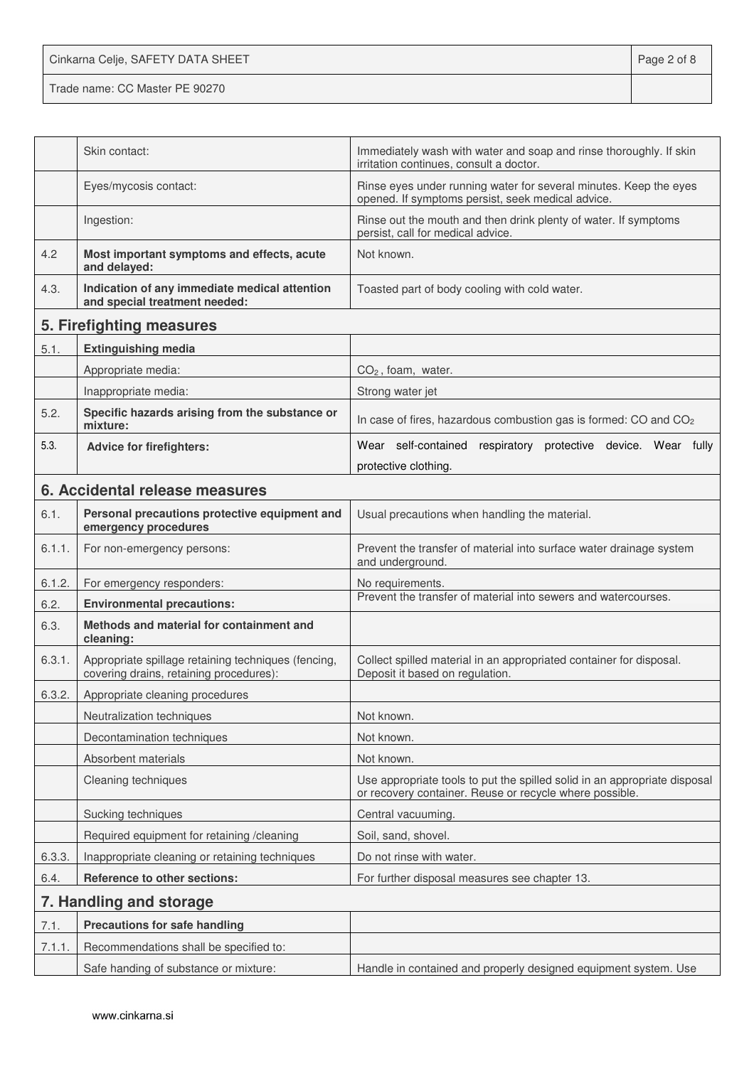Cinkarna Celje, SAFETY DATA SHEET **Page 2 of 8** 

|        | Skin contact:                                                                                  | Immediately wash with water and soap and rinse thoroughly. If skin<br>irritation continues, consult a doctor.                        |  |
|--------|------------------------------------------------------------------------------------------------|--------------------------------------------------------------------------------------------------------------------------------------|--|
|        | Eyes/mycosis contact:                                                                          | Rinse eyes under running water for several minutes. Keep the eyes<br>opened. If symptoms persist, seek medical advice.               |  |
|        | Ingestion:                                                                                     | Rinse out the mouth and then drink plenty of water. If symptoms<br>persist, call for medical advice.                                 |  |
| 4.2    | Most important symptoms and effects, acute<br>and delayed:                                     | Not known.                                                                                                                           |  |
| 4.3.   | Indication of any immediate medical attention<br>and special treatment needed:                 | Toasted part of body cooling with cold water.                                                                                        |  |
|        | 5. Firefighting measures                                                                       |                                                                                                                                      |  |
| 5.1.   | <b>Extinguishing media</b>                                                                     |                                                                                                                                      |  |
|        | Appropriate media:                                                                             | $CO2$ , foam, water.                                                                                                                 |  |
|        | Inappropriate media:                                                                           | Strong water jet                                                                                                                     |  |
| 5.2.   | Specific hazards arising from the substance or<br>mixture:                                     | In case of fires, hazardous combustion gas is formed: CO and CO <sub>2</sub>                                                         |  |
| 5.3.   | <b>Advice for firefighters:</b>                                                                | Wear self-contained respiratory protective device. Wear fully<br>protective clothing.                                                |  |
|        | 6. Accidental release measures                                                                 |                                                                                                                                      |  |
| 6.1.   |                                                                                                |                                                                                                                                      |  |
|        | Personal precautions protective equipment and<br>emergency procedures                          | Usual precautions when handling the material.                                                                                        |  |
| 6.1.1. | For non-emergency persons:                                                                     | Prevent the transfer of material into surface water drainage system<br>and underground.                                              |  |
| 6.1.2. | For emergency responders:                                                                      | No requirements.                                                                                                                     |  |
| 6.2.   | <b>Environmental precautions:</b>                                                              | Prevent the transfer of material into sewers and watercourses.                                                                       |  |
| 6.3.   | Methods and material for containment and<br>cleaning:                                          |                                                                                                                                      |  |
| 6.3.1. | Appropriate spillage retaining techniques (fencing,<br>covering drains, retaining procedures): | Collect spilled material in an appropriated container for disposal.<br>Deposit it based on regulation.                               |  |
| 6.3.2. | Appropriate cleaning procedures                                                                |                                                                                                                                      |  |
|        | Neutralization techniques                                                                      | Not known.                                                                                                                           |  |
|        | Decontamination techniques                                                                     | Not known.                                                                                                                           |  |
|        | Absorbent materials                                                                            | Not known.                                                                                                                           |  |
|        | Cleaning techniques                                                                            | Use appropriate tools to put the spilled solid in an appropriate disposal<br>or recovery container. Reuse or recycle where possible. |  |
|        | Sucking techniques                                                                             | Central vacuuming.                                                                                                                   |  |
|        | Required equipment for retaining /cleaning                                                     | Soil, sand, shovel.                                                                                                                  |  |
| 6.3.3. | Inappropriate cleaning or retaining techniques                                                 | Do not rinse with water.                                                                                                             |  |
| 6.4.   | Reference to other sections:                                                                   | For further disposal measures see chapter 13.                                                                                        |  |
|        | 7. Handling and storage                                                                        |                                                                                                                                      |  |
| 7.1.   | <b>Precautions for safe handling</b>                                                           |                                                                                                                                      |  |
| 7.1.1. | Recommendations shall be specified to:                                                         |                                                                                                                                      |  |
|        | Safe handing of substance or mixture:                                                          | Handle in contained and properly designed equipment system. Use                                                                      |  |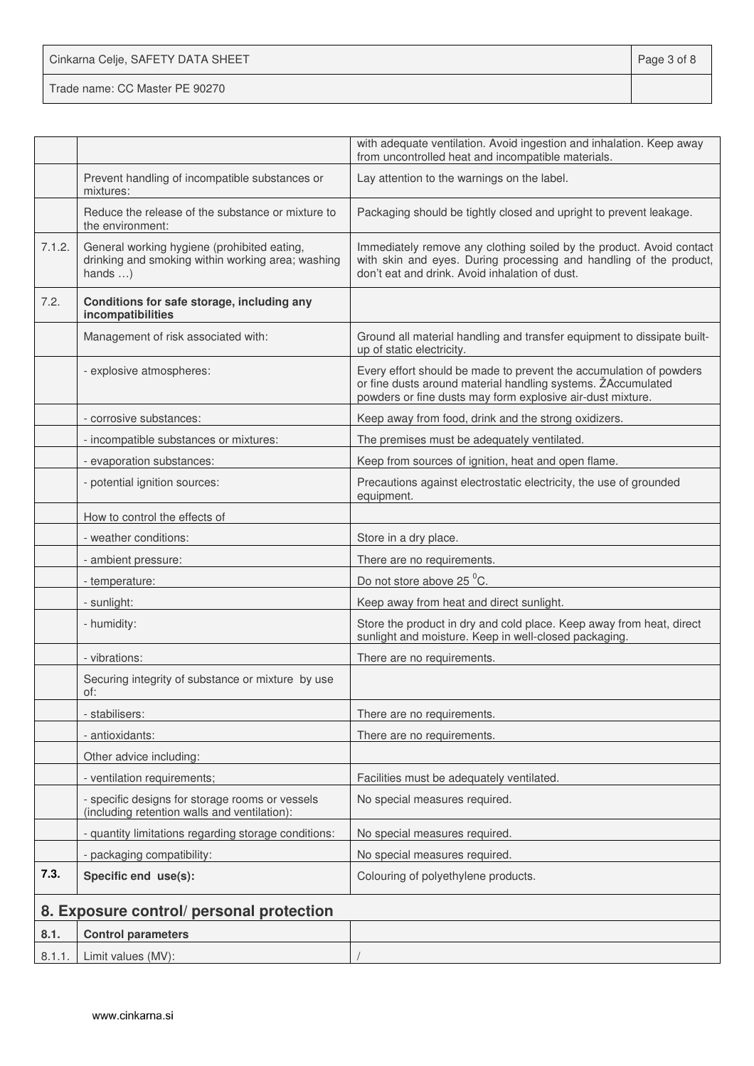Cinkarna Celje, SAFETY DATA SHEET **Page 3 of 8** 

|        |                                                                                                                     | with adequate ventilation. Avoid ingestion and inhalation. Keep away<br>from uncontrolled heat and incompatible materials.                                                                       |
|--------|---------------------------------------------------------------------------------------------------------------------|--------------------------------------------------------------------------------------------------------------------------------------------------------------------------------------------------|
|        | Prevent handling of incompatible substances or<br>mixtures:                                                         | Lay attention to the warnings on the label.                                                                                                                                                      |
|        | Reduce the release of the substance or mixture to<br>the environment:                                               | Packaging should be tightly closed and upright to prevent leakage.                                                                                                                               |
| 7.1.2. | General working hygiene (prohibited eating,<br>drinking and smoking within working area; washing<br>hands $\dots$ ) | Immediately remove any clothing soiled by the product. Avoid contact<br>with skin and eyes. During processing and handling of the product,<br>don't eat and drink. Avoid inhalation of dust.     |
| 7.2.   | Conditions for safe storage, including any<br>incompatibilities                                                     |                                                                                                                                                                                                  |
|        | Management of risk associated with:                                                                                 | Ground all material handling and transfer equipment to dissipate built-<br>up of static electricity.                                                                                             |
|        | - explosive atmospheres:                                                                                            | Every effort should be made to prevent the accumulation of powders<br>or fine dusts around material handling systems. ZAccumulated<br>powders or fine dusts may form explosive air-dust mixture. |
|        | - corrosive substances:                                                                                             | Keep away from food, drink and the strong oxidizers.                                                                                                                                             |
|        | - incompatible substances or mixtures:                                                                              | The premises must be adequately ventilated.                                                                                                                                                      |
|        | - evaporation substances:                                                                                           | Keep from sources of ignition, heat and open flame.                                                                                                                                              |
|        | - potential ignition sources:                                                                                       | Precautions against electrostatic electricity, the use of grounded<br>equipment.                                                                                                                 |
|        | How to control the effects of                                                                                       |                                                                                                                                                                                                  |
|        | - weather conditions:                                                                                               | Store in a dry place.                                                                                                                                                                            |
|        | - ambient pressure:                                                                                                 | There are no requirements.                                                                                                                                                                       |
|        | - temperature:                                                                                                      | Do not store above 25 °C.                                                                                                                                                                        |
|        | - sunlight:                                                                                                         | Keep away from heat and direct sunlight.                                                                                                                                                         |
|        | - humidity:                                                                                                         | Store the product in dry and cold place. Keep away from heat, direct<br>sunlight and moisture. Keep in well-closed packaging.                                                                    |
|        | - vibrations:                                                                                                       | There are no requirements.                                                                                                                                                                       |
|        | Securing integrity of substance or mixture by use<br>of:                                                            |                                                                                                                                                                                                  |
|        | - stabilisers:                                                                                                      | There are no requirements.                                                                                                                                                                       |
|        | - antioxidants:                                                                                                     | There are no requirements.                                                                                                                                                                       |
|        | Other advice including:                                                                                             |                                                                                                                                                                                                  |
|        | - ventilation requirements;                                                                                         | Facilities must be adequately ventilated.                                                                                                                                                        |
|        | - specific designs for storage rooms or vessels<br>(including retention walls and ventilation):                     | No special measures required.                                                                                                                                                                    |
|        | - quantity limitations regarding storage conditions:                                                                | No special measures required.                                                                                                                                                                    |
|        | - packaging compatibility:                                                                                          | No special measures required.                                                                                                                                                                    |
| 7.3.   | Specific end use(s):                                                                                                | Colouring of polyethylene products.                                                                                                                                                              |
|        | 8. Exposure control/ personal protection                                                                            |                                                                                                                                                                                                  |
| 8.1.   | <b>Control parameters</b>                                                                                           |                                                                                                                                                                                                  |
| 8.1.1. | Limit values (MV):                                                                                                  |                                                                                                                                                                                                  |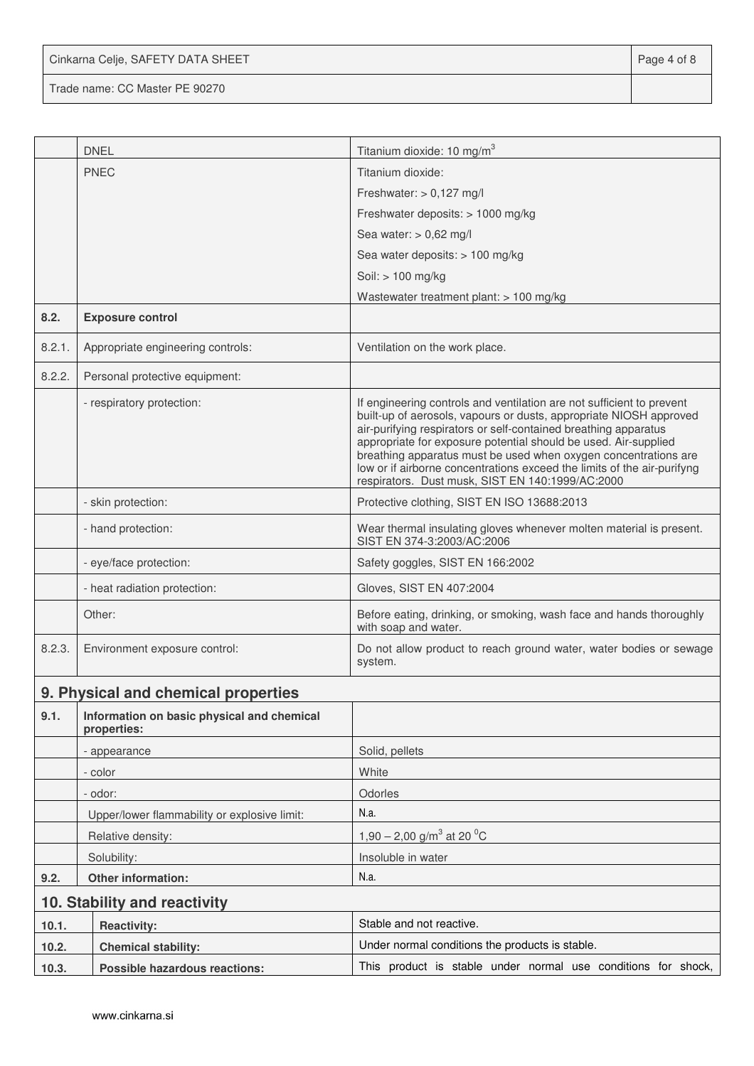| Cinkarna Celje, SAFETY DATA SHEET | Page 4 of 8 |
|-----------------------------------|-------------|
|-----------------------------------|-------------|

|                              | <b>DNEL</b>                                               | Titanium dioxide: 10 mg/m <sup>3</sup>                                                                                                                                                                                                                                                                                                                                                                                                                                              |  |  |
|------------------------------|-----------------------------------------------------------|-------------------------------------------------------------------------------------------------------------------------------------------------------------------------------------------------------------------------------------------------------------------------------------------------------------------------------------------------------------------------------------------------------------------------------------------------------------------------------------|--|--|
|                              | <b>PNEC</b>                                               | Titanium dioxide:                                                                                                                                                                                                                                                                                                                                                                                                                                                                   |  |  |
|                              |                                                           | Freshwater: $> 0,127$ mg/l                                                                                                                                                                                                                                                                                                                                                                                                                                                          |  |  |
|                              |                                                           | Freshwater deposits: > 1000 mg/kg                                                                                                                                                                                                                                                                                                                                                                                                                                                   |  |  |
|                              |                                                           | Sea water: $> 0,62$ mg/l                                                                                                                                                                                                                                                                                                                                                                                                                                                            |  |  |
|                              |                                                           | Sea water deposits: > 100 mg/kg                                                                                                                                                                                                                                                                                                                                                                                                                                                     |  |  |
|                              |                                                           | Soil: > 100 mg/kg                                                                                                                                                                                                                                                                                                                                                                                                                                                                   |  |  |
|                              |                                                           | Wastewater treatment plant: > 100 mg/kg                                                                                                                                                                                                                                                                                                                                                                                                                                             |  |  |
| 8.2.                         | <b>Exposure control</b>                                   |                                                                                                                                                                                                                                                                                                                                                                                                                                                                                     |  |  |
| 8.2.1.                       | Appropriate engineering controls:                         | Ventilation on the work place.                                                                                                                                                                                                                                                                                                                                                                                                                                                      |  |  |
| 8.2.2.                       | Personal protective equipment:                            |                                                                                                                                                                                                                                                                                                                                                                                                                                                                                     |  |  |
|                              | - respiratory protection:                                 | If engineering controls and ventilation are not sufficient to prevent<br>built-up of aerosols, vapours or dusts, appropriate NIOSH approved<br>air-purifying respirators or self-contained breathing apparatus<br>appropriate for exposure potential should be used. Air-supplied<br>breathing apparatus must be used when oxygen concentrations are<br>low or if airborne concentrations exceed the limits of the air-purifyng<br>respirators. Dust musk, SIST EN 140:1999/AC:2000 |  |  |
|                              | - skin protection:                                        | Protective clothing, SIST EN ISO 13688:2013                                                                                                                                                                                                                                                                                                                                                                                                                                         |  |  |
|                              | - hand protection:                                        | Wear thermal insulating gloves whenever molten material is present.<br>SIST EN 374-3:2003/AC:2006                                                                                                                                                                                                                                                                                                                                                                                   |  |  |
|                              | - eye/face protection:                                    | Safety goggles, SIST EN 166:2002                                                                                                                                                                                                                                                                                                                                                                                                                                                    |  |  |
|                              | - heat radiation protection:                              | Gloves, SIST EN 407:2004                                                                                                                                                                                                                                                                                                                                                                                                                                                            |  |  |
|                              | Other:                                                    | Before eating, drinking, or smoking, wash face and hands thoroughly<br>with soap and water.                                                                                                                                                                                                                                                                                                                                                                                         |  |  |
| 8.2.3.                       | Environment exposure control:                             | Do not allow product to reach ground water, water bodies or sewage<br>system.                                                                                                                                                                                                                                                                                                                                                                                                       |  |  |
|                              | 9. Physical and chemical properties                       |                                                                                                                                                                                                                                                                                                                                                                                                                                                                                     |  |  |
| 9.1.                         | Information on basic physical and chemical<br>properties: |                                                                                                                                                                                                                                                                                                                                                                                                                                                                                     |  |  |
|                              | - appearance                                              | Solid, pellets                                                                                                                                                                                                                                                                                                                                                                                                                                                                      |  |  |
|                              | - color                                                   | White                                                                                                                                                                                                                                                                                                                                                                                                                                                                               |  |  |
|                              | - odor:                                                   | Odorles                                                                                                                                                                                                                                                                                                                                                                                                                                                                             |  |  |
|                              | Upper/lower flammability or explosive limit:              | N.a.                                                                                                                                                                                                                                                                                                                                                                                                                                                                                |  |  |
|                              | Relative density:                                         | 1,90 – 2,00 g/m <sup>3</sup> at 20 <sup>o</sup> C                                                                                                                                                                                                                                                                                                                                                                                                                                   |  |  |
|                              | Solubility:                                               | Insoluble in water                                                                                                                                                                                                                                                                                                                                                                                                                                                                  |  |  |
| Other information:<br>9.2.   |                                                           | N.a.                                                                                                                                                                                                                                                                                                                                                                                                                                                                                |  |  |
| 10. Stability and reactivity |                                                           |                                                                                                                                                                                                                                                                                                                                                                                                                                                                                     |  |  |
| 10.1.                        | <b>Reactivity:</b>                                        | Stable and not reactive.                                                                                                                                                                                                                                                                                                                                                                                                                                                            |  |  |
| 10.2.                        | <b>Chemical stability:</b>                                | Under normal conditions the products is stable.                                                                                                                                                                                                                                                                                                                                                                                                                                     |  |  |
| 10.3.                        | <b>Possible hazardous reactions:</b>                      | This product is stable under normal use conditions for shock,                                                                                                                                                                                                                                                                                                                                                                                                                       |  |  |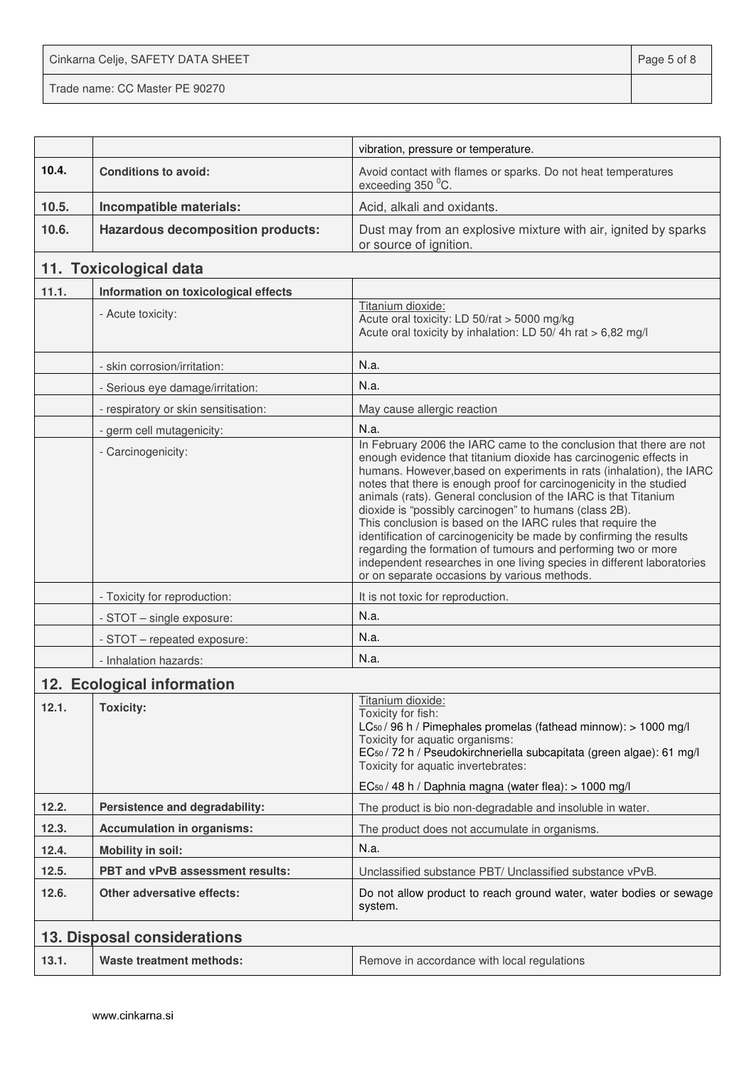Cinkarna Celje, SAFETY DATA SHEET **Page 5 of 8** 

|       |                                          | vibration, pressure or temperature.                                                                                                                                                                                                                                                                                                                                                                                                                                                                                                                                                                                                                                                                                                                   |
|-------|------------------------------------------|-------------------------------------------------------------------------------------------------------------------------------------------------------------------------------------------------------------------------------------------------------------------------------------------------------------------------------------------------------------------------------------------------------------------------------------------------------------------------------------------------------------------------------------------------------------------------------------------------------------------------------------------------------------------------------------------------------------------------------------------------------|
| 10.4. | <b>Conditions to avoid:</b>              | Avoid contact with flames or sparks. Do not heat temperatures<br>exceeding 350 °C.                                                                                                                                                                                                                                                                                                                                                                                                                                                                                                                                                                                                                                                                    |
| 10.5. | Incompatible materials:                  | Acid, alkali and oxidants.                                                                                                                                                                                                                                                                                                                                                                                                                                                                                                                                                                                                                                                                                                                            |
| 10.6. | <b>Hazardous decomposition products:</b> | Dust may from an explosive mixture with air, ignited by sparks<br>or source of ignition.                                                                                                                                                                                                                                                                                                                                                                                                                                                                                                                                                                                                                                                              |
|       | 11. Toxicological data                   |                                                                                                                                                                                                                                                                                                                                                                                                                                                                                                                                                                                                                                                                                                                                                       |
| 11.1. | Information on toxicological effects     |                                                                                                                                                                                                                                                                                                                                                                                                                                                                                                                                                                                                                                                                                                                                                       |
|       | - Acute toxicity:                        | Titanium dioxide:<br>Acute oral toxicity: LD 50/rat > 5000 mg/kg<br>Acute oral toxicity by inhalation: LD 50/4h rat > 6,82 mg/l                                                                                                                                                                                                                                                                                                                                                                                                                                                                                                                                                                                                                       |
|       | - skin corrosion/irritation:             | N.a.                                                                                                                                                                                                                                                                                                                                                                                                                                                                                                                                                                                                                                                                                                                                                  |
|       | - Serious eye damage/irritation:         | N.a.                                                                                                                                                                                                                                                                                                                                                                                                                                                                                                                                                                                                                                                                                                                                                  |
|       | - respiratory or skin sensitisation:     | May cause allergic reaction                                                                                                                                                                                                                                                                                                                                                                                                                                                                                                                                                                                                                                                                                                                           |
|       | - germ cell mutagenicity:                | N.a.                                                                                                                                                                                                                                                                                                                                                                                                                                                                                                                                                                                                                                                                                                                                                  |
|       | - Carcinogenicity:                       | In February 2006 the IARC came to the conclusion that there are not<br>enough evidence that titanium dioxide has carcinogenic effects in<br>humans. However, based on experiments in rats (inhalation), the IARC<br>notes that there is enough proof for carcinogenicity in the studied<br>animals (rats). General conclusion of the IARC is that Titanium<br>dioxide is "possibly carcinogen" to humans (class 2B).<br>This conclusion is based on the IARC rules that require the<br>identification of carcinogenicity be made by confirming the results<br>regarding the formation of tumours and performing two or more<br>independent researches in one living species in different laboratories<br>or on separate occasions by various methods. |
|       | - Toxicity for reproduction:             | It is not toxic for reproduction.                                                                                                                                                                                                                                                                                                                                                                                                                                                                                                                                                                                                                                                                                                                     |
|       | - STOT - single exposure:                | N.a.                                                                                                                                                                                                                                                                                                                                                                                                                                                                                                                                                                                                                                                                                                                                                  |
|       | - STOT - repeated exposure:              | N.a.                                                                                                                                                                                                                                                                                                                                                                                                                                                                                                                                                                                                                                                                                                                                                  |
|       | - Inhalation hazards:                    | N.a.                                                                                                                                                                                                                                                                                                                                                                                                                                                                                                                                                                                                                                                                                                                                                  |
|       | 12. Ecological information               |                                                                                                                                                                                                                                                                                                                                                                                                                                                                                                                                                                                                                                                                                                                                                       |
| 12.1. | <b>Toxicity:</b>                         | Titanium dioxide:<br>Toxicity for fish:<br>LC <sub>50</sub> / 96 h / Pimephales promelas (fathead minnow): > 1000 mg/l<br>Toxicity for aquatic organisms:<br>EC <sub>50</sub> / 72 h / Pseudokirchneriella subcapitata (green algae): 61 mg/l<br>Toxicity for aquatic invertebrates:<br>EC <sub>50</sub> / 48 h / Daphnia magna (water flea): > 1000 mg/l                                                                                                                                                                                                                                                                                                                                                                                             |
| 12.2. | Persistence and degradability:           | The product is bio non-degradable and insoluble in water.                                                                                                                                                                                                                                                                                                                                                                                                                                                                                                                                                                                                                                                                                             |
| 12.3. | <b>Accumulation in organisms:</b>        | The product does not accumulate in organisms.                                                                                                                                                                                                                                                                                                                                                                                                                                                                                                                                                                                                                                                                                                         |
| 12.4. | <b>Mobility in soil:</b>                 | N.a.                                                                                                                                                                                                                                                                                                                                                                                                                                                                                                                                                                                                                                                                                                                                                  |
| 12.5. | PBT and vPvB assessment results:         | Unclassified substance PBT/ Unclassified substance vPvB.                                                                                                                                                                                                                                                                                                                                                                                                                                                                                                                                                                                                                                                                                              |
| 12.6. | <b>Other adversative effects:</b>        | Do not allow product to reach ground water, water bodies or sewage<br>system.                                                                                                                                                                                                                                                                                                                                                                                                                                                                                                                                                                                                                                                                         |
|       | 13. Disposal considerations              |                                                                                                                                                                                                                                                                                                                                                                                                                                                                                                                                                                                                                                                                                                                                                       |
| 13.1. | Waste treatment methods:                 | Remove in accordance with local regulations                                                                                                                                                                                                                                                                                                                                                                                                                                                                                                                                                                                                                                                                                                           |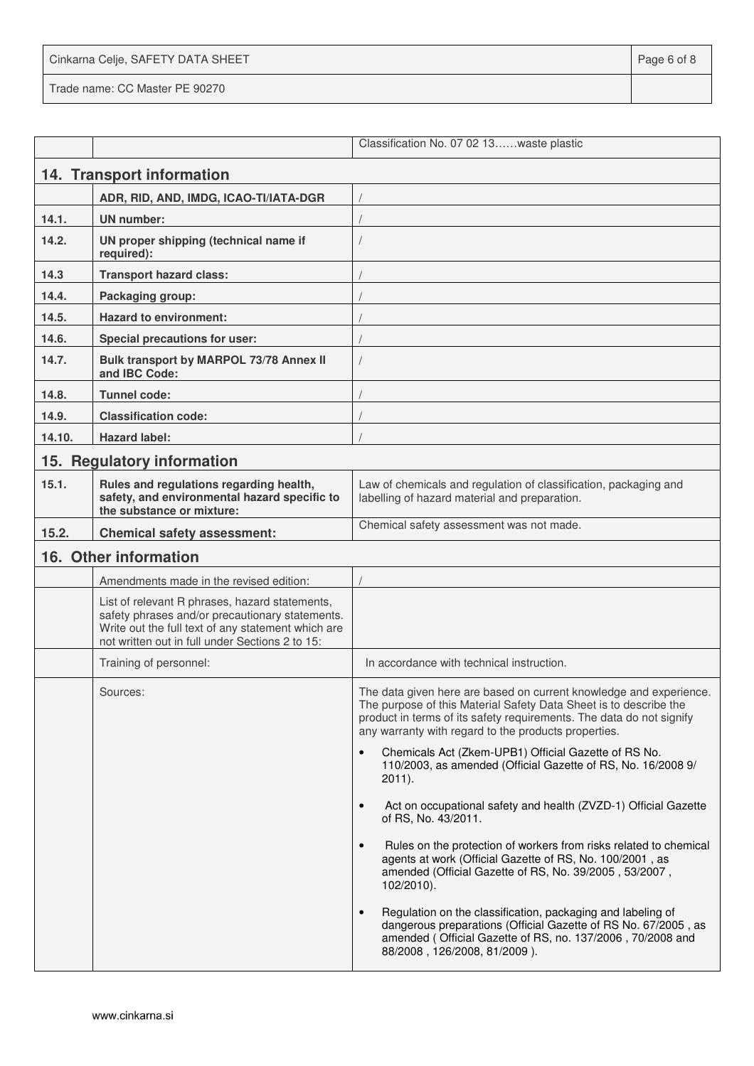| Cinkarna Celje, SAFETY DATA SHEET | Page 6 of 8 |
|-----------------------------------|-------------|
| Trade name: CC Master PE 90270    |             |

|        |                                                                                                                                                                                                            | Classification No. 07 02 13waste plastic                                                                                                                                                                                                                                |  |
|--------|------------------------------------------------------------------------------------------------------------------------------------------------------------------------------------------------------------|-------------------------------------------------------------------------------------------------------------------------------------------------------------------------------------------------------------------------------------------------------------------------|--|
|        | 14. Transport information                                                                                                                                                                                  |                                                                                                                                                                                                                                                                         |  |
|        | ADR, RID, AND, IMDG, ICAO-TI/IATA-DGR                                                                                                                                                                      |                                                                                                                                                                                                                                                                         |  |
| 14.1.  | <b>UN number:</b>                                                                                                                                                                                          |                                                                                                                                                                                                                                                                         |  |
| 14.2.  | UN proper shipping (technical name if<br>required):                                                                                                                                                        |                                                                                                                                                                                                                                                                         |  |
| 14.3   | <b>Transport hazard class:</b>                                                                                                                                                                             |                                                                                                                                                                                                                                                                         |  |
| 14.4.  | Packaging group:                                                                                                                                                                                           |                                                                                                                                                                                                                                                                         |  |
| 14.5.  | <b>Hazard to environment:</b>                                                                                                                                                                              |                                                                                                                                                                                                                                                                         |  |
| 14.6.  | <b>Special precautions for user:</b>                                                                                                                                                                       |                                                                                                                                                                                                                                                                         |  |
| 14.7.  | Bulk transport by MARPOL 73/78 Annex II<br>and IBC Code:                                                                                                                                                   |                                                                                                                                                                                                                                                                         |  |
| 14.8.  | <b>Tunnel code:</b>                                                                                                                                                                                        |                                                                                                                                                                                                                                                                         |  |
| 14.9.  | <b>Classification code:</b>                                                                                                                                                                                |                                                                                                                                                                                                                                                                         |  |
| 14.10. | <b>Hazard label:</b>                                                                                                                                                                                       |                                                                                                                                                                                                                                                                         |  |
|        | 15. Regulatory information                                                                                                                                                                                 |                                                                                                                                                                                                                                                                         |  |
| 15.1.  | Rules and regulations regarding health,<br>safety, and environmental hazard specific to<br>the substance or mixture:                                                                                       | Law of chemicals and regulation of classification, packaging and<br>labelling of hazard material and preparation.                                                                                                                                                       |  |
| 15.2.  | <b>Chemical safety assessment:</b>                                                                                                                                                                         | Chemical safety assessment was not made.                                                                                                                                                                                                                                |  |
|        | 16. Other information                                                                                                                                                                                      |                                                                                                                                                                                                                                                                         |  |
|        | Amendments made in the revised edition:                                                                                                                                                                    |                                                                                                                                                                                                                                                                         |  |
|        | List of relevant R phrases, hazard statements,<br>safety phrases and/or precautionary statements.<br>Write out the full text of any statement which are<br>not written out in full under Sections 2 to 15: |                                                                                                                                                                                                                                                                         |  |
|        | Training of personnel:                                                                                                                                                                                     | In accordance with technical instruction.                                                                                                                                                                                                                               |  |
|        | Sources:                                                                                                                                                                                                   | The data given here are based on current knowledge and experience.<br>The purpose of this Material Safety Data Sheet is to describe the<br>product in terms of its safety requirements. The data do not signify<br>any warranty with regard to the products properties. |  |
|        |                                                                                                                                                                                                            | Chemicals Act (Zkem-UPB1) Official Gazette of RS No.<br>110/2003, as amended (Official Gazette of RS, No. 16/2008 9/<br>$2011$ ).                                                                                                                                       |  |
|        |                                                                                                                                                                                                            | Act on occupational safety and health (ZVZD-1) Official Gazette<br>of RS, No. 43/2011.                                                                                                                                                                                  |  |
|        |                                                                                                                                                                                                            | Rules on the protection of workers from risks related to chemical<br>$\bullet$<br>agents at work (Official Gazette of RS, No. 100/2001, as<br>amended (Official Gazette of RS, No. 39/2005, 53/2007,<br>$102/2010$ ).                                                   |  |
|        |                                                                                                                                                                                                            | Regulation on the classification, packaging and labeling of<br>$\bullet$<br>dangerous preparations (Official Gazette of RS No. 67/2005, as<br>amended (Official Gazette of RS, no. 137/2006, 70/2008 and<br>88/2008, 126/2008, 81/2009).                                |  |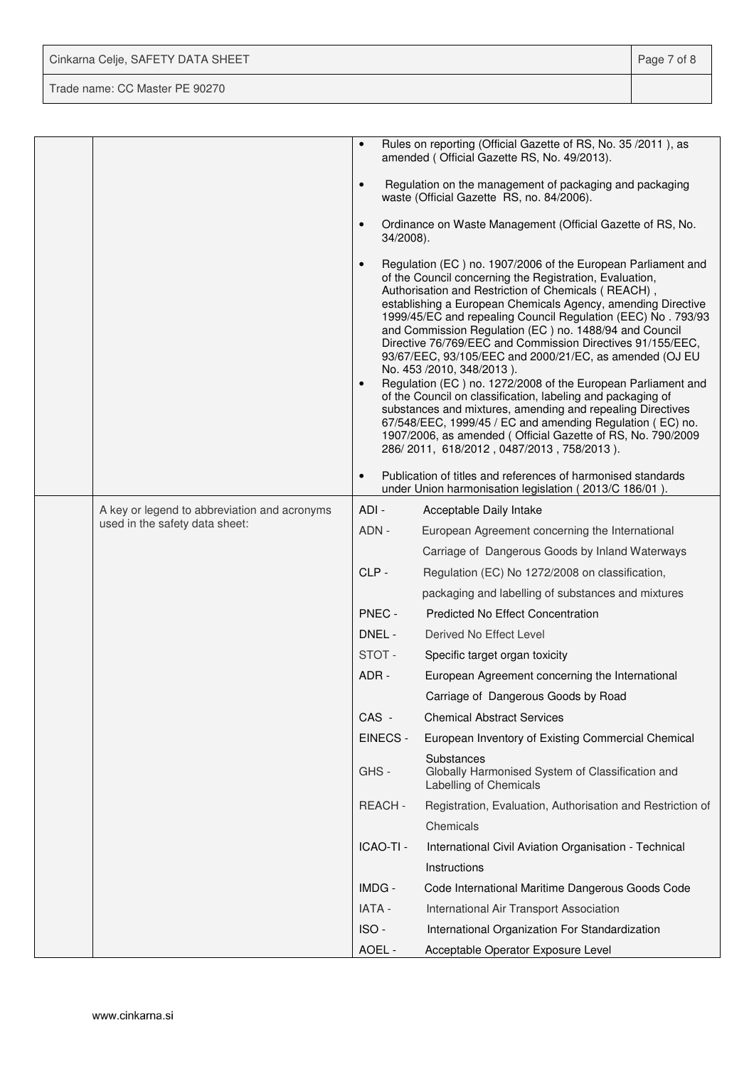| Cinkarna Celje, SAFETY DATA SHEET | Page 7 of 8 |
|-----------------------------------|-------------|
| Trade name: CC Master PE 90270    |             |

|                                              |                        | Rules on reporting (Official Gazette of RS, No. 35 /2011), as<br>amended (Official Gazette RS, No. 49/2013).                                                                                                                                                                                                                                                                                                                                                                                                                                                                                                                                                                                                                                                                                                                                                                                         |
|----------------------------------------------|------------------------|------------------------------------------------------------------------------------------------------------------------------------------------------------------------------------------------------------------------------------------------------------------------------------------------------------------------------------------------------------------------------------------------------------------------------------------------------------------------------------------------------------------------------------------------------------------------------------------------------------------------------------------------------------------------------------------------------------------------------------------------------------------------------------------------------------------------------------------------------------------------------------------------------|
|                                              | $\bullet$              | Regulation on the management of packaging and packaging<br>waste (Official Gazette RS, no. 84/2006).                                                                                                                                                                                                                                                                                                                                                                                                                                                                                                                                                                                                                                                                                                                                                                                                 |
|                                              | $\bullet$<br>34/2008). | Ordinance on Waste Management (Official Gazette of RS, No.                                                                                                                                                                                                                                                                                                                                                                                                                                                                                                                                                                                                                                                                                                                                                                                                                                           |
|                                              | $\bullet$<br>$\bullet$ | Regulation (EC) no. 1907/2006 of the European Parliament and<br>of the Council concerning the Registration, Evaluation,<br>Authorisation and Restriction of Chemicals (REACH),<br>establishing a European Chemicals Agency, amending Directive<br>1999/45/EC and repealing Council Regulation (EEC) No. 793/93<br>and Commission Regulation (EC) no. 1488/94 and Council<br>Directive 76/769/EEC and Commission Directives 91/155/EEC,<br>93/67/EEC, 93/105/EEC and 2000/21/EC, as amended (OJ EU<br>No. 453 /2010, 348/2013).<br>Regulation (EC) no. 1272/2008 of the European Parliament and<br>of the Council on classification, labeling and packaging of<br>substances and mixtures, amending and repealing Directives<br>67/548/EEC, 1999/45 / EC and amending Regulation (EC) no.<br>1907/2006, as amended (Official Gazette of RS, No. 790/2009<br>286/2011, 618/2012, 0487/2013, 758/2013). |
|                                              | $\bullet$              | Publication of titles and references of harmonised standards<br>under Union harmonisation legislation (2013/C 186/01).                                                                                                                                                                                                                                                                                                                                                                                                                                                                                                                                                                                                                                                                                                                                                                               |
| A key or legend to abbreviation and acronyms | $ADI -$                | Acceptable Daily Intake                                                                                                                                                                                                                                                                                                                                                                                                                                                                                                                                                                                                                                                                                                                                                                                                                                                                              |
| used in the safety data sheet:               | ADN -                  | European Agreement concerning the International                                                                                                                                                                                                                                                                                                                                                                                                                                                                                                                                                                                                                                                                                                                                                                                                                                                      |
|                                              |                        | Carriage of Dangerous Goods by Inland Waterways                                                                                                                                                                                                                                                                                                                                                                                                                                                                                                                                                                                                                                                                                                                                                                                                                                                      |
|                                              | CLP-                   | Regulation (EC) No 1272/2008 on classification,                                                                                                                                                                                                                                                                                                                                                                                                                                                                                                                                                                                                                                                                                                                                                                                                                                                      |
|                                              |                        | packaging and labelling of substances and mixtures                                                                                                                                                                                                                                                                                                                                                                                                                                                                                                                                                                                                                                                                                                                                                                                                                                                   |
|                                              | PNEC -                 | <b>Predicted No Effect Concentration</b>                                                                                                                                                                                                                                                                                                                                                                                                                                                                                                                                                                                                                                                                                                                                                                                                                                                             |
|                                              | DNEL -                 | Derived No Effect Level                                                                                                                                                                                                                                                                                                                                                                                                                                                                                                                                                                                                                                                                                                                                                                                                                                                                              |
|                                              | STOT-                  | Specific target organ toxicity                                                                                                                                                                                                                                                                                                                                                                                                                                                                                                                                                                                                                                                                                                                                                                                                                                                                       |
|                                              | ADR -                  | European Agreement concerning the International                                                                                                                                                                                                                                                                                                                                                                                                                                                                                                                                                                                                                                                                                                                                                                                                                                                      |
|                                              |                        | Carriage of Dangerous Goods by Road                                                                                                                                                                                                                                                                                                                                                                                                                                                                                                                                                                                                                                                                                                                                                                                                                                                                  |
|                                              | CAS -                  | <b>Chemical Abstract Services</b>                                                                                                                                                                                                                                                                                                                                                                                                                                                                                                                                                                                                                                                                                                                                                                                                                                                                    |
|                                              | EINECS -               | European Inventory of Existing Commercial Chemical                                                                                                                                                                                                                                                                                                                                                                                                                                                                                                                                                                                                                                                                                                                                                                                                                                                   |
|                                              | GHS-                   | Substances<br>Globally Harmonised System of Classification and<br>Labelling of Chemicals                                                                                                                                                                                                                                                                                                                                                                                                                                                                                                                                                                                                                                                                                                                                                                                                             |
|                                              | <b>REACH-</b>          | Registration, Evaluation, Authorisation and Restriction of                                                                                                                                                                                                                                                                                                                                                                                                                                                                                                                                                                                                                                                                                                                                                                                                                                           |
|                                              |                        | Chemicals                                                                                                                                                                                                                                                                                                                                                                                                                                                                                                                                                                                                                                                                                                                                                                                                                                                                                            |
|                                              | ICAO-TI -              | International Civil Aviation Organisation - Technical                                                                                                                                                                                                                                                                                                                                                                                                                                                                                                                                                                                                                                                                                                                                                                                                                                                |
|                                              |                        | Instructions                                                                                                                                                                                                                                                                                                                                                                                                                                                                                                                                                                                                                                                                                                                                                                                                                                                                                         |
|                                              | IMDG -                 | Code International Maritime Dangerous Goods Code                                                                                                                                                                                                                                                                                                                                                                                                                                                                                                                                                                                                                                                                                                                                                                                                                                                     |
|                                              | <b>IATA -</b>          | International Air Transport Association                                                                                                                                                                                                                                                                                                                                                                                                                                                                                                                                                                                                                                                                                                                                                                                                                                                              |
|                                              | ISO-                   | International Organization For Standardization                                                                                                                                                                                                                                                                                                                                                                                                                                                                                                                                                                                                                                                                                                                                                                                                                                                       |
|                                              | AOEL -                 | Acceptable Operator Exposure Level                                                                                                                                                                                                                                                                                                                                                                                                                                                                                                                                                                                                                                                                                                                                                                                                                                                                   |